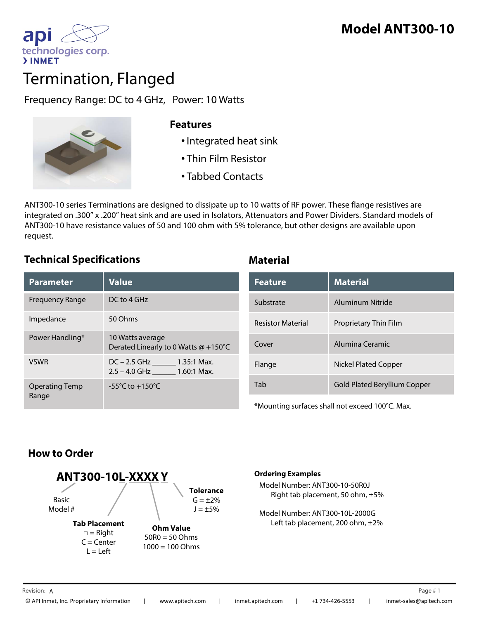

# Termination, Flanged

Frequency Range: DC to 4 GHz, Power: 10 Watts



### **Features**

- •Integrated heat sink
- Thin Film Resistor
- Tabbed Contacts

ANT300-10 series Terminations are designed to dissipate up to 10 watts of RF power. These flange resistives are integrated on .300" x .200" heat sink and are used in Isolators, Attenuators and Power Dividers. Standard models of ANT300-10 have resistance values of 50 and 100 ohm with 5% tolerance, but other designs are available upon request.

### **Technical Specifications Material**

| <b>Parameter</b>               | <b>Value</b>                                                | <b>Feature</b>                                             | <b>Material</b>                     |
|--------------------------------|-------------------------------------------------------------|------------------------------------------------------------|-------------------------------------|
| <b>Frequency Range</b>         | DC to 4 GHz                                                 | Substrate                                                  | Aluminum Nitride                    |
| Impedance                      | 50 Ohms                                                     | <b>Resistor Material</b>                                   | Proprietary Thin Film               |
| Power Handling*                | 10 Watts average<br>Derated Linearly to 0 Watts @ +150°C    | Cover                                                      | Alumina Ceramic                     |
| <b>VSWR</b>                    | $DC - 2.5$ GHz 1.35:1 Max.<br>$2.5 - 4.0$ GHz $1.60:1$ Max. | Flange                                                     | <b>Nickel Plated Copper</b>         |
| <b>Operating Temp</b><br>Range | $-55^{\circ}$ C to $+150^{\circ}$ C                         | Tab                                                        | <b>Gold Plated Beryllium Copper</b> |
|                                |                                                             | $*$ Mounting surfaces shall not exceed 100 $\degree$ C May |                                     |

| <b>Value</b>                                             | <b>Feature</b>           | <b>Material</b>                     |
|----------------------------------------------------------|--------------------------|-------------------------------------|
| DC to 4 GHz                                              | Substrate                | Aluminum Nitride                    |
| 50 Ohms                                                  | <b>Resistor Material</b> | Proprietary Thin Film               |
| 10 Watts average<br>Derated Linearly to 0 Watts @ +150°C | Cover                    | Alumina Ceramic                     |
| DC - 2.5 GHz _______ 1.35:1 Max.                         | Flange                   | <b>Nickel Plated Copper</b>         |
| -55 $^{\circ}$ C to +150 $^{\circ}$ C                    | Tab                      | <b>Gold Plated Beryllium Copper</b> |

\*Mounting surfaces shall not exceed 100°C. Max.

# **How to Order**



 $\square$  = Right  $C =$ Center

**Ohm Value**  $50R0 = 50Ohms$  $L = Left$  1000 = 100 Ohms

### **Ordering Examples**

Model Number: ANT300-10-50R0J Right tab placement, 50 ohm, ±5%

Model Number: ANT300-10L-2000G Left tab placement, 200 ohm, ±2%